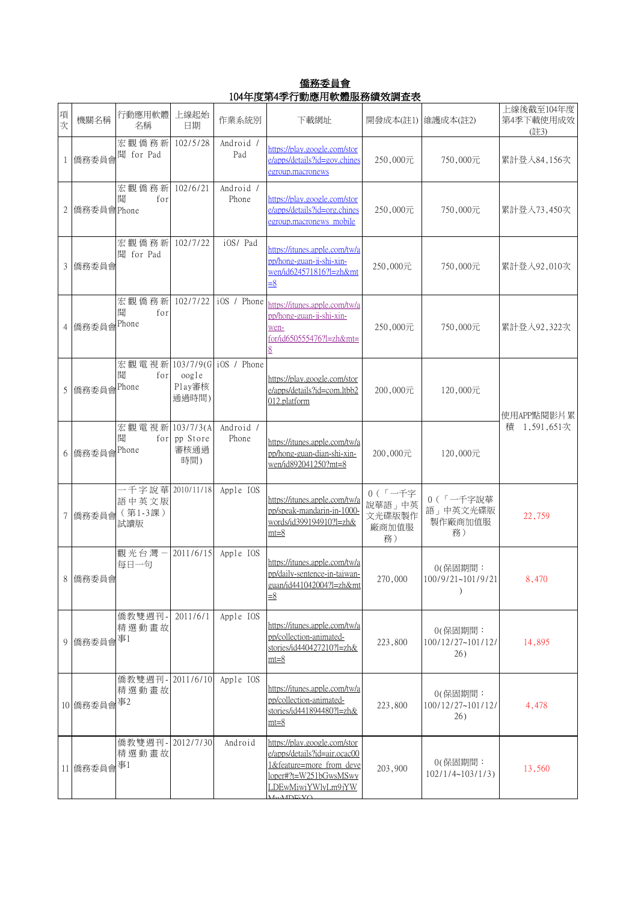僑務委員會 104年度第4季行動應用軟體服務績效調查表

| 項次 | 機關名稱       | 行動應用軟體<br>名稱                                     | 上線起始<br>日期                  | 作業系統別              | 下載網址                                                                                                                                                                | 開發成本(註1)  維護成本(註2)                        |                                               | 上線後截至104年度<br>第4季下載使用成效<br>(註3) |
|----|------------|--------------------------------------------------|-----------------------------|--------------------|---------------------------------------------------------------------------------------------------------------------------------------------------------------------|-------------------------------------------|-----------------------------------------------|---------------------------------|
|    | 僑務委員會      | 宏觀僑務新<br>聞 for Pad                               | 102/5/28                    | Android /<br>Pad   | https://play.google.com/stor<br>e/apps/details?id=gov.chines<br>egroup.macronews                                                                                    | 250,000元                                  | 750,000元                                      | 累計登入84,156次                     |
| 2  | 僑務委員會Phone | 宏觀僑務新<br>聞<br>for                                | 102/6/21                    | Android /<br>Phone | https://play.google.com/stor<br>e/apps/details?id=org.chines<br>egroup.macronews mobile                                                                             | 250,000元                                  | 750,000元                                      | 累計登入73,450次                     |
| 3  | 僑務委員會      | 宏觀僑務新<br>聞 for Pad                               | 102/7/22                    | iOS/ Pad           | https://itunes.apple.com/tw/a<br>pp/hong-guan-ji-shi-xin-<br>wen/id624571816?l=zh&mt<br>$\equiv 8$                                                                  | 250,000元                                  | 750,000元                                      | 累計登入92,010次                     |
|    | 4 僑務委員會    | 宏觀僑務新<br>聞<br>for<br>Phone                       | 102/7/22                    | iOS / Phone        | https://itunes.apple.com/tw/a<br>pp/hong-guan-ji-shi-xin-<br>wen-<br>for/id650555476?l=zh&mt=<br>8                                                                  | 250,000元                                  | 750,000元                                      | 累計登入92,322次                     |
| 5  | 僑務委員會      | 宏觀電視新 103/7/9(G iOS / Phone<br>聞<br>for<br>Phone | oogle<br>Play審核<br>通過時間)    |                    | https://play.google.com/stor<br>e/apps/details?id=com.ltbb2<br>012.platform                                                                                         | 200,000元                                  | 120,000元                                      | 使用APP點閱影片累                      |
| 6  | 僑務委員會      | 宏觀電視新 103/7/3(A<br>聞<br>Phone                    | for pp Store<br>審核通過<br>時間) | Android /<br>Phone | https://itunes.apple.com/tw/a<br>pp/hong-guan-dian-shi-xin-<br>wen/id892041250?mt=8                                                                                 | 200,000元                                  | 120,000元                                      | 積 1,591,651次                    |
| 7  | 僑務委員會      | 一千字說華 2010/11/18<br>語中英文版<br>(第1-3課)<br>試讀版      |                             | Apple IOS          | https://itunes.apple.com/tw/a<br>pp/speak-mandarin-in-1000-<br>words/id399194910?l=zh&<br>$mt=8$                                                                    | 0(「一千字<br>說華語」中英<br>文光碟版製作<br>廠商加值服<br>務) | 0(「一千字說華<br>語」中英文光碟版<br>製作廠商加值服<br>務)         | 22,759                          |
|    | 8 僑務委員會    | 觀光台灣一<br>每日一句                                    | 2011/6/15                   | Apple IOS          | https://itunes.apple.com/tw/a<br>pp/daily-sentence-in-taiwan-<br>guan/id441042004?l=zh&mt<br>$\equiv 8$                                                             | 270,000                                   | 0(保固期間:<br>100/9/21~101/9/21<br>$\mathcal{E}$ | 8,470                           |
| 9  | 僑務委員會      | 僑教雙週刊-<br>精選動畫故<br>事1                            | 2011/6/1                    | Apple IOS          | https://itunes.apple.com/tw/a<br>pp/collection-animated-<br>stories/id440427210?l=zh&<br>$mt=8$                                                                     | 223,800                                   | 0(保固期間:<br>100/12/27~101/12/<br>26)           | 14,895                          |
|    | 10 僑務委員會   | 僑教雙週刊-<br>精選動畫故<br>事2                            | 2011/6/10                   | Apple IOS          | https://itunes.apple.com/tw/a<br>pp/collection-animated-<br>stories/id441894480?l=zh&<br>$mt=8$                                                                     | 223,800                                   | 0(保固期間:<br>100/12/27~101/12/<br>26)           | 4,478                           |
|    | 11 僑務委員會   | 僑教雙週刊-<br>精選動畫故<br>事1                            | 2012/7/30                   | Android            | https://play.google.com/stor<br>e/apps/details?id=air.ocac00<br>1&feature=more from deve<br>loper#?t=W251bGwsMSwy<br>LDEwMiwiYWlyLm9jYW<br>$A$ <sub>W</sub> MDE; VO | 203,900                                   | 0(保固期間:<br>102/1/4~103/1/3                    | 13,560                          |